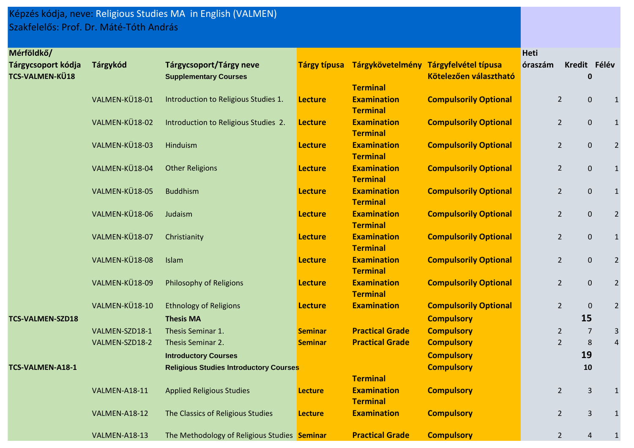## Képzés kódja, neve: Religious Studies MA in English (VALMEN) Szakfelelős: Prof. Dr. Máté-Tóth András

| Mérföldkő/              |                |                                               |                |                                       |                                                    | <b>Heti</b> |                |                |                |
|-------------------------|----------------|-----------------------------------------------|----------------|---------------------------------------|----------------------------------------------------|-------------|----------------|----------------|----------------|
| Tárgycsoport kódja      | Tárgykód       | Tárgycsoport/Tárgy neve                       |                |                                       | Tárgy típusa Tárgykövetelmény Tárgyfelvétel típusa | óraszám     | Kredit Félév   |                |                |
| TCS-VALMEN-KÜ18         |                | <b>Supplementary Courses</b>                  |                |                                       | Kötelezően választható                             |             |                | $\mathbf 0$    |                |
|                         |                |                                               |                | <b>Terminal</b>                       |                                                    |             |                |                |                |
|                         | VALMEN-KÜ18-01 | Introduction to Religious Studies 1.          | <b>Lecture</b> | <b>Examination</b>                    | <b>Compulsorily Optional</b>                       |             | $\overline{2}$ | $\pmb{0}$      | $1\,$          |
|                         |                |                                               |                | <b>Terminal</b>                       |                                                    |             |                |                |                |
|                         | VALMEN-KÜ18-02 | Introduction to Religious Studies 2.          | <b>Lecture</b> | <b>Examination</b>                    | <b>Compulsorily Optional</b>                       |             | $\overline{2}$ | $\pmb{0}$      | $1\,$          |
|                         |                |                                               |                | <b>Terminal</b>                       |                                                    |             |                |                |                |
|                         | VALMEN-KÜ18-03 | Hinduism                                      | <b>Lecture</b> | <b>Examination</b>                    | <b>Compulsorily Optional</b>                       |             | $\overline{2}$ | $\mathbf 0$    | $\mathbf 2$    |
|                         | VALMEN-KÜ18-04 |                                               |                | <b>Terminal</b><br><b>Examination</b> |                                                    |             |                |                |                |
|                         |                | <b>Other Religions</b>                        | <b>Lecture</b> | <b>Terminal</b>                       | <b>Compulsorily Optional</b>                       |             | $\overline{2}$ | $\mathbf 0$    | $\mathbf 1$    |
|                         | VALMEN-KÜ18-05 | <b>Buddhism</b>                               | <b>Lecture</b> | <b>Examination</b>                    | <b>Compulsorily Optional</b>                       |             | $\overline{2}$ | $\mathbf 0$    | $\mathbf 1$    |
|                         |                |                                               |                | <b>Terminal</b>                       |                                                    |             |                |                |                |
|                         | VALMEN-KÜ18-06 | Judaism                                       | <b>Lecture</b> | <b>Examination</b>                    | <b>Compulsorily Optional</b>                       |             | $\overline{2}$ | $\pmb{0}$      | $\overline{2}$ |
|                         |                |                                               |                | <b>Terminal</b>                       |                                                    |             |                |                |                |
|                         | VALMEN-KÜ18-07 | Christianity                                  | <b>Lecture</b> | <b>Examination</b>                    | <b>Compulsorily Optional</b>                       |             | $\overline{2}$ | $\pmb{0}$      | $\mathbf{1}$   |
|                         |                |                                               |                | <b>Terminal</b>                       |                                                    |             |                |                |                |
|                         | VALMEN-KÜ18-08 | Islam                                         | <b>Lecture</b> | <b>Examination</b>                    | <b>Compulsorily Optional</b>                       |             | $\overline{2}$ | $\mathbf 0$    | $\overline{2}$ |
|                         |                |                                               |                | <b>Terminal</b>                       |                                                    |             |                |                |                |
|                         | VALMEN-KÜ18-09 | <b>Philosophy of Religions</b>                | <b>Lecture</b> | <b>Examination</b>                    | <b>Compulsorily Optional</b>                       |             | $\overline{2}$ | $\mathbf 0$    | $\mathbf 2$    |
|                         |                |                                               |                | <b>Terminal</b>                       |                                                    |             |                |                |                |
|                         | VALMEN-KÜ18-10 | <b>Ethnology of Religions</b>                 | <b>Lecture</b> | <b>Examination</b>                    | <b>Compulsorily Optional</b>                       |             | $\overline{2}$ | $\pmb{0}$      | $\overline{2}$ |
| <b>TCS-VALMEN-SZD18</b> |                | <b>Thesis MA</b>                              |                |                                       | <b>Compulsory</b>                                  |             | 15             |                |                |
|                         | VALMEN-SZD18-1 | Thesis Seminar 1.                             | <b>Seminar</b> | <b>Practical Grade</b>                | <b>Compulsory</b>                                  |             | $\overline{2}$ | $\overline{7}$ | 3              |
|                         | VALMEN-SZD18-2 | Thesis Seminar 2.                             | <b>Seminar</b> | <b>Practical Grade</b>                | <b>Compulsory</b>                                  |             | $\overline{2}$ | $\,8\,$        | $\sqrt{4}$     |
|                         |                | <b>Introductory Courses</b>                   |                |                                       | <b>Compulsory</b>                                  |             | 19             |                |                |
| TCS-VALMEN-A18-1        |                | <b>Religious Studies Introductory Courses</b> |                |                                       | <b>Compulsory</b>                                  |             |                | 10             |                |
|                         |                |                                               |                | <b>Terminal</b>                       |                                                    |             |                |                |                |
|                         | VALMEN-A18-11  | <b>Applied Religious Studies</b>              | <b>Lecture</b> | <b>Examination</b>                    | <b>Compulsory</b>                                  |             | $\overline{2}$ | $\overline{3}$ | $\mathbf{1}$   |
|                         |                |                                               |                | <b>Terminal</b>                       |                                                    |             |                |                |                |
|                         | VALMEN-A18-12  | The Classics of Religious Studies             | <b>Lecture</b> | <b>Examination</b>                    | <b>Compulsory</b>                                  |             | $\overline{2}$ | $\overline{3}$ | $\mathbf 1$    |
|                         |                |                                               |                |                                       |                                                    |             |                |                |                |
|                         | VALMEN-A18-13  | The Methodology of Religious Studies Seminar  |                | <b>Practical Grade</b>                | <b>Compulsory</b>                                  |             | $\overline{2}$ | 4              |                |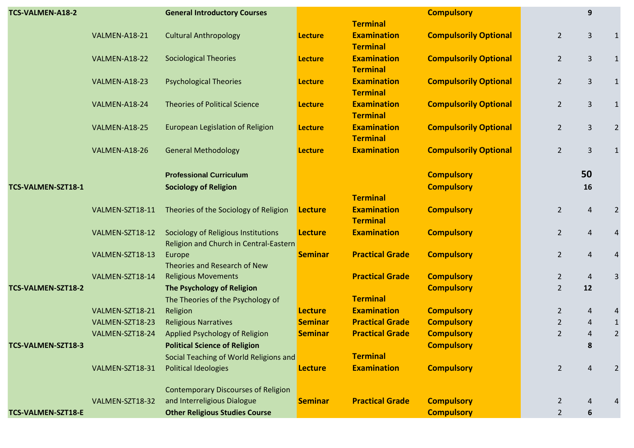| TCS-VALMEN-A18-2   |                 | <b>General Introductory Courses</b>                                           |                |                                       | <b>Compulsory</b>            |                | 9              |                |
|--------------------|-----------------|-------------------------------------------------------------------------------|----------------|---------------------------------------|------------------------------|----------------|----------------|----------------|
|                    |                 |                                                                               |                | <b>Terminal</b>                       |                              |                |                |                |
|                    | VALMEN-A18-21   | <b>Cultural Anthropology</b>                                                  | <b>Lecture</b> | <b>Examination</b><br><b>Terminal</b> | <b>Compulsorily Optional</b> | $2^{\circ}$    | $\mathbf{3}$   |                |
|                    | VALMEN-A18-22   | <b>Sociological Theories</b>                                                  | <b>Lecture</b> | <b>Examination</b><br><b>Terminal</b> | <b>Compulsorily Optional</b> | $2^{\circ}$    | $\overline{3}$ | $\mathbf{1}$   |
|                    | VALMEN-A18-23   | <b>Psychological Theories</b>                                                 | <b>Lecture</b> | <b>Examination</b><br><b>Terminal</b> | <b>Compulsorily Optional</b> | $2^{\circ}$    | $\overline{3}$ |                |
|                    | VALMEN-A18-24   | <b>Theories of Political Science</b>                                          | <b>Lecture</b> | <b>Examination</b><br><b>Terminal</b> | <b>Compulsorily Optional</b> | $\overline{2}$ | $\mathbf{3}$   | $\mathbf 1$    |
|                    | VALMEN-A18-25   | European Legislation of Religion                                              | <b>Lecture</b> | <b>Examination</b><br><b>Terminal</b> | <b>Compulsorily Optional</b> | $\overline{2}$ | $\overline{3}$ | 2              |
|                    | VALMEN-A18-26   | <b>General Methodology</b>                                                    | <b>Lecture</b> | <b>Examination</b>                    | <b>Compulsorily Optional</b> | $\overline{2}$ | 3              |                |
|                    |                 | <b>Professional Curriculum</b>                                                |                |                                       | <b>Compulsory</b>            |                | 50             |                |
| TCS-VALMEN-SZT18-1 |                 | <b>Sociology of Religion</b>                                                  |                |                                       | <b>Compulsory</b>            |                | 16             |                |
|                    |                 |                                                                               |                | <b>Terminal</b>                       |                              |                |                |                |
|                    | VALMEN-SZT18-11 | Theories of the Sociology of Religion                                         | <b>Lecture</b> | <b>Examination</b><br><b>Terminal</b> | <b>Compulsory</b>            | $\overline{2}$ | $\overline{4}$ | $\overline{2}$ |
|                    | VALMEN-SZT18-12 | Sociology of Religious Institutions<br>Religion and Church in Central-Eastern | <b>Lecture</b> | <b>Examination</b>                    | <b>Compulsory</b>            | $\overline{2}$ | $\overline{4}$ |                |
|                    | VALMEN-SZT18-13 | Europe<br>Theories and Research of New                                        | <b>Seminar</b> | <b>Practical Grade</b>                | <b>Compulsory</b>            | $2^{\circ}$    | 4              | 4              |
|                    | VALMEN-SZT18-14 | <b>Religious Movements</b>                                                    |                | <b>Practical Grade</b>                | <b>Compulsory</b>            | $\overline{2}$ | $\overline{4}$ | 3              |
| TCS-VALMEN-SZT18-2 |                 | The Psychology of Religion                                                    |                |                                       | <b>Compulsory</b>            | $\overline{2}$ | 12             |                |
|                    |                 | The Theories of the Psychology of                                             |                | <b>Terminal</b>                       |                              |                |                |                |
|                    | VALMEN-SZT18-21 | Religion                                                                      | <b>Lecture</b> | <b>Examination</b>                    | <b>Compulsory</b>            | $\overline{2}$ | 4              | 4              |
|                    | VALMEN-SZT18-23 | <b>Religious Narratives</b>                                                   | <b>Seminar</b> | <b>Practical Grade</b>                | <b>Compulsory</b>            | $\overline{2}$ | 4              | $\mathbf{1}$   |
|                    | VALMEN-SZT18-24 | Applied Psychology of Religion                                                | <b>Seminar</b> | <b>Practical Grade</b>                | <b>Compulsory</b>            | $\overline{2}$ | 4              | $\overline{2}$ |
| TCS-VALMEN-SZT18-3 |                 | <b>Political Science of Religion</b>                                          |                |                                       | <b>Compulsory</b>            |                | 8              |                |
|                    |                 | Social Teaching of World Religions and                                        |                | <b>Terminal</b>                       |                              |                |                |                |
|                    | VALMEN-SZT18-31 | <b>Political Ideologies</b>                                                   | <b>Lecture</b> | <b>Examination</b>                    | <b>Compulsory</b>            | $\overline{2}$ | Δ              |                |
|                    |                 | <b>Contemporary Discourses of Religion</b>                                    |                |                                       |                              |                |                |                |
|                    | VALMEN-SZT18-32 | and Interreligious Dialogue                                                   | <b>Seminar</b> | <b>Practical Grade</b>                | <b>Compulsory</b>            | $\overline{2}$ |                |                |
| TCS-VALMEN-SZT18-E |                 | <b>Other Religious Studies Course</b>                                         |                |                                       | <b>Compulsory</b>            | $\overline{2}$ | 6              |                |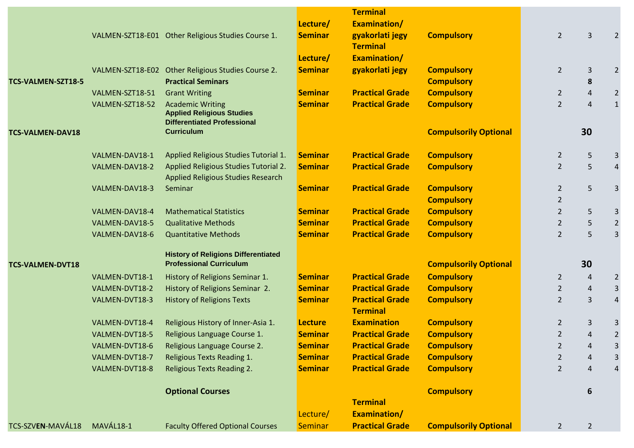|                         |                 |                                                                                                   |                                  | <b>Terminal</b>                                  |                                        |                                  |                |                     |
|-------------------------|-----------------|---------------------------------------------------------------------------------------------------|----------------------------------|--------------------------------------------------|----------------------------------------|----------------------------------|----------------|---------------------|
|                         |                 |                                                                                                   | Lecture/                         | Examination/                                     |                                        |                                  |                |                     |
|                         |                 | VALMEN-SZT18-E01 Other Religious Studies Course 1.                                                | <b>Seminar</b>                   | gyakorlati jegy<br><b>Terminal</b>               | <b>Compulsory</b>                      | $2 \overline{ }$                 | $\overline{3}$ |                     |
|                         |                 |                                                                                                   | Lecture/                         | Examination/                                     |                                        |                                  |                |                     |
|                         |                 | VALMEN-SZT18-E02 Other Religious Studies Course 2.                                                | <b>Seminar</b>                   | gyakorlati jegy                                  | <b>Compulsory</b>                      | $2^{\circ}$                      | 3              | $\overline{2}$      |
| TCS-VALMEN-SZT18-5      |                 | <b>Practical Seminars</b>                                                                         |                                  |                                                  | <b>Compulsory</b>                      |                                  | 8              |                     |
|                         | VALMEN-SZT18-51 | <b>Grant Writing</b>                                                                              | <b>Seminar</b>                   | <b>Practical Grade</b>                           | <b>Compulsory</b>                      | $\overline{2}$                   | $\overline{4}$ | $\overline{2}$      |
|                         | VALMEN-SZT18-52 | <b>Academic Writing</b><br><b>Applied Religious Studies</b><br><b>Differentiated Professional</b> | <b>Seminar</b>                   | <b>Practical Grade</b>                           | <b>Compulsory</b>                      | $\overline{2}$                   | $\overline{4}$ | $\mathbf{1}$        |
| <b>TCS-VALMEN-DAV18</b> |                 | <b>Curriculum</b>                                                                                 |                                  |                                                  | <b>Compulsorily Optional</b>           |                                  | 30             |                     |
|                         | VALMEN-DAV18-1  | Applied Religious Studies Tutorial 1.                                                             | <b>Seminar</b>                   | <b>Practical Grade</b>                           | <b>Compulsory</b>                      | $\overline{2}$                   | 5              | 3                   |
|                         | VALMEN-DAV18-2  | Applied Religious Studies Tutorial 2.                                                             | <b>Seminar</b>                   | <b>Practical Grade</b>                           | <b>Compulsory</b>                      | $\overline{2}$                   | 5              | $\overline{4}$      |
|                         |                 | Applied Religious Studies Research                                                                |                                  |                                                  |                                        |                                  |                |                     |
|                         | VALMEN-DAV18-3  | Seminar                                                                                           | <b>Seminar</b>                   | <b>Practical Grade</b>                           | <b>Compulsory</b>                      | $\overline{2}$                   | 5              | 3                   |
|                         |                 |                                                                                                   |                                  |                                                  | <b>Compulsory</b>                      | $\overline{2}$                   |                |                     |
|                         | VALMEN-DAV18-4  | <b>Mathematical Statistics</b>                                                                    | <b>Seminar</b>                   | <b>Practical Grade</b><br><b>Practical Grade</b> | <b>Compulsory</b>                      | $\overline{2}$                   | 5              | 3                   |
|                         | VALMEN-DAV18-5  | <b>Qualitative Methods</b><br><b>Quantitative Methods</b>                                         | <b>Seminar</b>                   | <b>Practical Grade</b>                           | <b>Compulsory</b>                      | $\overline{2}$<br>$\overline{2}$ | 5<br>5         | $\overline{2}$<br>3 |
|                         | VALMEN-DAV18-6  |                                                                                                   | <b>Seminar</b>                   |                                                  | <b>Compulsory</b>                      |                                  |                |                     |
|                         |                 | <b>History of Religions Differentiated</b>                                                        |                                  |                                                  |                                        |                                  |                |                     |
| <b>TCS-VALMEN-DVT18</b> |                 | <b>Professional Curriculum</b>                                                                    |                                  |                                                  | <b>Compulsorily Optional</b>           |                                  | 30             |                     |
|                         | VALMEN-DVT18-1  | History of Religions Seminar 1.                                                                   | <b>Seminar</b>                   | <b>Practical Grade</b>                           | <b>Compulsory</b>                      | $2^{\circ}$                      | $\overline{4}$ | $\overline{2}$      |
|                         | VALMEN-DVT18-2  | History of Religions Seminar 2.                                                                   | <b>Seminar</b>                   | <b>Practical Grade</b>                           | <b>Compulsory</b>                      | $\overline{2}$                   | $\overline{4}$ | 3                   |
|                         | VALMEN-DVT18-3  | <b>History of Religions Texts</b>                                                                 | <b>Seminar</b>                   | <b>Practical Grade</b>                           | <b>Compulsory</b>                      | $\overline{2}$                   | $\overline{3}$ | $\overline{A}$      |
|                         | VALMEN-DVT18-4  |                                                                                                   |                                  | <b>Terminal</b><br><b>Examination</b>            |                                        |                                  |                | 3                   |
|                         | VALMEN-DVT18-5  | Religious History of Inner-Asia 1.                                                                | <b>Lecture</b><br><b>Seminar</b> | <b>Practical Grade</b>                           | <b>Compulsory</b><br><b>Compulsory</b> | $\overline{2}$<br>$\overline{2}$ | 3<br>4         | 2                   |
|                         | VALMEN-DVT18-6  | Religious Language Course 1.<br>Religious Language Course 2.                                      | <b>Seminar</b>                   | <b>Practical Grade</b>                           | <b>Compulsory</b>                      | $\overline{2}$                   | 4              | 3                   |
|                         | VALMEN-DVT18-7  | Religious Texts Reading 1.                                                                        | <b>Seminar</b>                   | <b>Practical Grade</b>                           | <b>Compulsory</b>                      | 2                                | 4              | 3                   |
|                         | VALMEN-DVT18-8  | <b>Religious Texts Reading 2.</b>                                                                 | <b>Seminar</b>                   | <b>Practical Grade</b>                           | <b>Compulsory</b>                      | $\overline{2}$                   | 4              |                     |
|                         |                 |                                                                                                   |                                  |                                                  |                                        |                                  |                |                     |
|                         |                 | <b>Optional Courses</b>                                                                           |                                  |                                                  | <b>Compulsory</b>                      |                                  | 6              |                     |
|                         |                 |                                                                                                   |                                  | <b>Terminal</b>                                  |                                        |                                  |                |                     |
|                         |                 |                                                                                                   | Lecture/                         | Examination/                                     |                                        |                                  |                |                     |
| TCS-SZVEN-MAVÁL18       | MAVÁL18-1       | <b>Faculty Offered Optional Courses</b>                                                           | <b>Seminar</b>                   | <b>Practical Grade</b>                           | <b>Compulsorily Optional</b>           | $2^{\circ}$                      | $\overline{2}$ |                     |